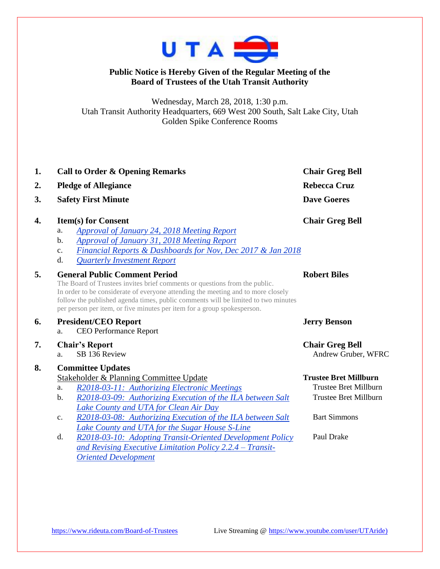

## **Public Notice is Hereby Given of the Regular Meeting of the Board of Trustees of the Utah Transit Authority**

Wednesday, March 28, 2018, 1:30 p.m. Utah Transit Authority Headquarters, 669 West 200 South, Salt Lake City, Utah Golden Spike Conference Rooms

| 1. | <b>Call to Order &amp; Opening Remarks</b>                                                                                                                                                                                                                                                                                                                                                                                                                                                                                  | <b>Chair Greg Bell</b>                                                                                                     |  |
|----|-----------------------------------------------------------------------------------------------------------------------------------------------------------------------------------------------------------------------------------------------------------------------------------------------------------------------------------------------------------------------------------------------------------------------------------------------------------------------------------------------------------------------------|----------------------------------------------------------------------------------------------------------------------------|--|
| 2. | <b>Pledge of Allegiance</b>                                                                                                                                                                                                                                                                                                                                                                                                                                                                                                 | <b>Rebecca Cruz</b>                                                                                                        |  |
| 3. | <b>Safety First Minute</b>                                                                                                                                                                                                                                                                                                                                                                                                                                                                                                  | <b>Dave Goeres</b>                                                                                                         |  |
| 4. | <b>Item(s) for Consent</b><br><b>Approval of January 24, 2018 Meeting Report</b><br>a.<br>b.<br>Approval of January 31, 2018 Meeting Report<br>Financial Reports & Dashboards for Nov, Dec 2017 & Jan 2018<br>c.<br>d.<br><b>Quarterly Investment Report</b>                                                                                                                                                                                                                                                                | <b>Chair Greg Bell</b>                                                                                                     |  |
| 5. | <b>General Public Comment Period</b><br>The Board of Trustees invites brief comments or questions from the public.<br>In order to be considerate of everyone attending the meeting and to more closely<br>follow the published agenda times, public comments will be limited to two minutes<br>per person per item, or five minutes per item for a group spokesperson.                                                                                                                                                      | <b>Robert Biles</b>                                                                                                        |  |
| 6. | <b>President/CEO Report</b><br><b>CEO Performance Report</b><br>a.                                                                                                                                                                                                                                                                                                                                                                                                                                                          | <b>Jerry Benson</b>                                                                                                        |  |
| 7. | <b>Chair's Report</b><br>SB 136 Review<br>a.                                                                                                                                                                                                                                                                                                                                                                                                                                                                                | <b>Chair Greg Bell</b><br>Andrew Gruber, WFRC                                                                              |  |
| 8. | <b>Committee Updates</b><br>Stakeholder & Planning Committee Update<br>R2018-03-11: Authorizing Electronic Meetings<br>a.<br>b.<br>R2018-03-09: Authorizing Execution of the ILA between Salt<br>Lake County and UTA for Clean Air Day<br>R2018-03-08: Authorizing Execution of the ILA between Salt<br>c.<br>Lake County and UTA for the Sugar House S-Line<br>R2018-03-10: Adopting Transit-Oriented Development Policy<br>d.<br>and Revising Executive Limitation Policy 2.2.4 - Transit-<br><b>Oriented Development</b> | <b>Trustee Bret Millburn</b><br>Trustee Bret Millburn<br><b>Trustee Bret Millburn</b><br><b>Bart Simmons</b><br>Paul Drake |  |